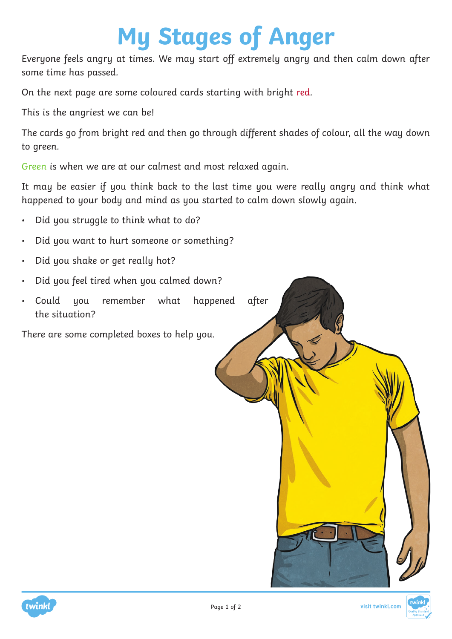## **My Stages of Anger**

Everyone feels angry at times. We may start off extremely angry and then calm down after some time has passed.

On the next page are some coloured cards starting with bright red.

This is the angriest we can be!

The cards go from bright red and then go through different shades of colour, all the way down to green.

Green is when we are at our calmest and most relaxed again.

It may be easier if you think back to the last time you were really angry and think what happened to your body and mind as you started to calm down slowly again.

- Did you struggle to think what to do?
- Did you want to hurt someone or something?
- Did you shake or get really hot?
- Did you feel tired when you calmed down?
- Could you remember what happened after the situation?

There are some completed boxes to help you.